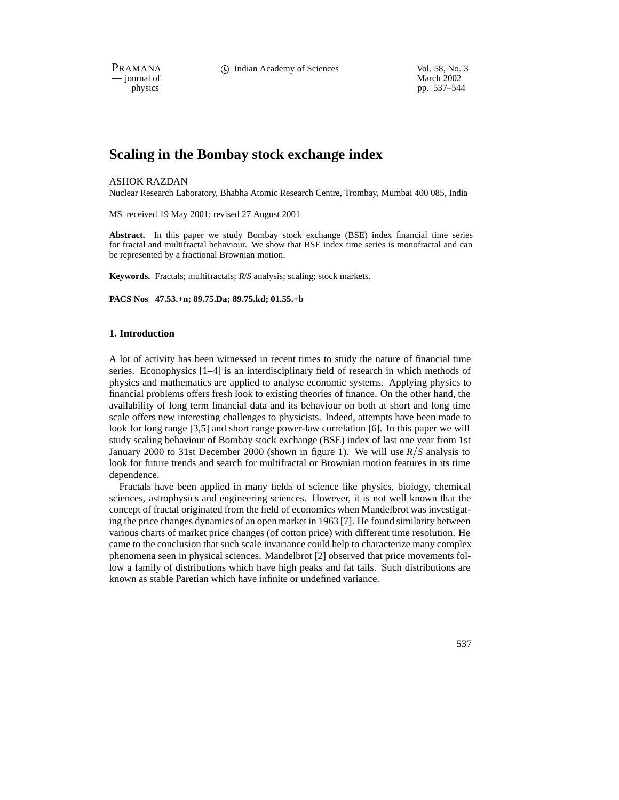PRAMANA 
<sup>c</sup> Indian Academy of Sciences 
<sup>Vol. 58, No. 3

<sup>c</sup> Vol. 58, No. 3
<sup>c</sup> Vol. 59, No. 3
<sup>1</sup></sup>

 $-$  journal of physics

pp. 537–544

# **Scaling in the Bombay stock exchange index**

## ASHOK RAZDAN

Nuclear Research Laboratory, Bhabha Atomic Research Centre, Trombay, Mumbai 400 085, India

MS received 19 May 2001; revised 27 August 2001

**Abstract.** In this paper we study Bombay stock exchange (BSE) index financial time series for fractal and multifractal behaviour. We show that BSE index time series is monofractal and can be represented by a fractional Brownian motion.

**Keywords.** Fractals; multifractals; *R*/*S* analysis; scaling; stock markets.

**PACS Nos 47.53.+n; 89.75.Da; 89.75.kd; 01.55.+b**

## **1. Introduction**

A lot of activity has been witnessed in recent times to study the nature of financial time series. Econophysics [1–4] is an interdisciplinary field of research in which methods of physics and mathematics are applied to analyse economic systems. Applying physics to financial problems offers fresh look to existing theories of finance. On the other hand, the availability of long term financial data and its behaviour on both at short and long time scale offers new interesting challenges to physicists. Indeed, attempts have been made to look for long range [3,5] and short range power-law correlation [6]. In this paper we will study scaling behaviour of Bombay stock exchange (BSE) index of last one year from 1st January 2000 to 31st December 2000 (shown in figure 1). We will use  $R/S$  analysis to look for future trends and search for multifractal or Brownian motion features in its time dependence.

Fractals have been applied in many fields of science like physics, biology, chemical sciences, astrophysics and engineering sciences. However, it is not well known that the concept of fractal originated from the field of economics when Mandelbrot was investigating the price changes dynamics of an open market in 1963 [7]. He found similarity between various charts of market price changes (of cotton price) with different time resolution. He came to the conclusion that such scale invariance could help to characterize many complex phenomena seen in physical sciences. Mandelbrot [2] observed that price movements follow a family of distributions which have high peaks and fat tails. Such distributions are known as stable Paretian which have infinite or undefined variance.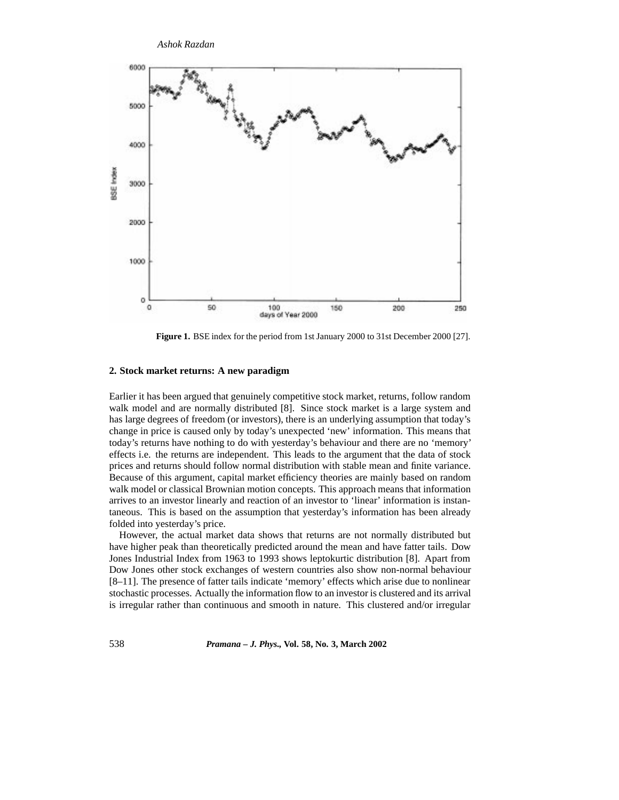*Ashok Razdan*



**Figure 1.** BSE index for the period from 1st January 2000 to 31st December 2000 [27].

## **2. Stock market returns: A new paradigm**

Earlier it has been argued that genuinely competitive stock market, returns, follow random walk model and are normally distributed [8]. Since stock market is a large system and has large degrees of freedom (or investors), there is an underlying assumption that today's change in price is caused only by today's unexpected 'new' information. This means that today's returns have nothing to do with yesterday's behaviour and there are no 'memory' effects i.e. the returns are independent. This leads to the argument that the data of stock prices and returns should follow normal distribution with stable mean and finite variance. Because of this argument, capital market efficiency theories are mainly based on random walk model or classical Brownian motion concepts. This approach means that information arrives to an investor linearly and reaction of an investor to 'linear' information is instantaneous. This is based on the assumption that yesterday's information has been already folded into yesterday's price.

However, the actual market data shows that returns are not normally distributed but have higher peak than theoretically predicted around the mean and have fatter tails. Dow Jones Industrial Index from 1963 to 1993 shows leptokurtic distribution [8]. Apart from Dow Jones other stock exchanges of western countries also show non-normal behaviour [8–11]. The presence of fatter tails indicate 'memory' effects which arise due to nonlinear stochastic processes. Actually the information flow to an investor is clustered and its arrival is irregular rather than continuous and smooth in nature. This clustered and/or irregular

538 *Pramana – J. Phys.,* **Vol. 58, No. 3, March 2002**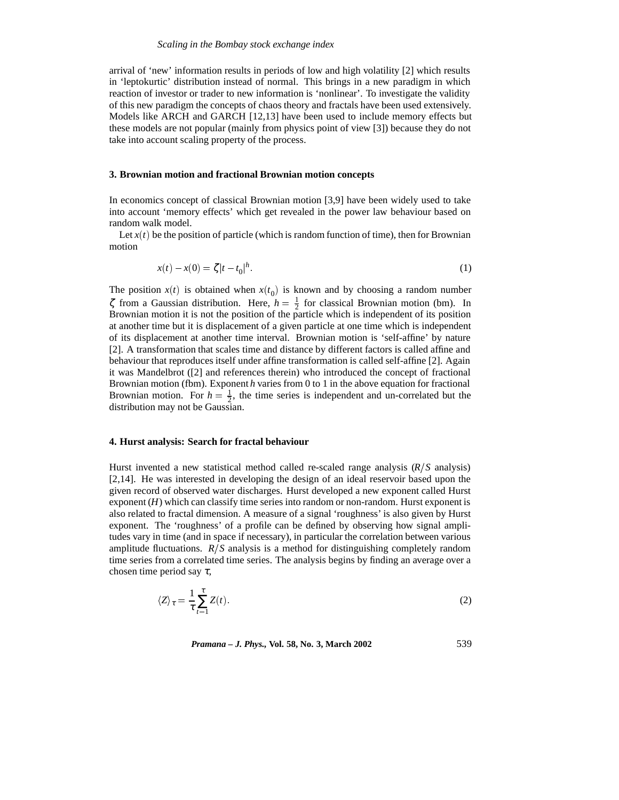arrival of 'new' information results in periods of low and high volatility [2] which results in 'leptokurtic' distribution instead of normal. This brings in a new paradigm in which reaction of investor or trader to new information is 'nonlinear'. To investigate the validity of this new paradigm the concepts of chaos theory and fractals have been used extensively. Models like ARCH and GARCH [12,13] have been used to include memory effects but these models are not popular (mainly from physics point of view [3]) because they do not take into account scaling property of the process.

#### **3. Brownian motion and fractional Brownian motion concepts**

In economics concept of classical Brownian motion [3,9] have been widely used to take into account 'memory effects' which get revealed in the power law behaviour based on random walk model.

Let  $x(t)$  be the position of particle (which is random function of time), then for Brownian motion

$$
x(t) - x(0) = \zeta |t - t_0|^h. \tag{1}
$$

The position  $x(t)$  is obtained when  $x(t_0)$  is known and by choosing a random number  $\zeta$  from a Gaussian distribution. Here,  $h = \frac{1}{2}$  for classical Brownian motion (bm). In Brownian motion it is not the position of the particle which is independent of its position at another time but it is displacement of a given particle at one time which is independent of its displacement at another time interval. Brownian motion is 'self-affine' by nature [2]. A transformation that scales time and distance by different factors is called affine and behaviour that reproduces itself under affine transformation is called self-affine [2]. Again it was Mandelbrot ([2] and references therein) who introduced the concept of fractional Brownian motion (fbm). Exponent *h* varies from 0 to 1 in the above equation for fractional Brownian motion. For  $h = \frac{1}{2}$ , the time series is independent and un-correlated but the distribution may not be Gaussian.

#### **4. Hurst analysis: Search for fractal behaviour**

Hurst invented a new statistical method called re-scaled range analysis (R/S analysis) [2,14]. He was interested in developing the design of an ideal reservoir based upon the given record of observed water discharges. Hurst developed a new exponent called Hurst exponent (*H*) which can classify time series into random or non-random. Hurst exponent is also related to fractal dimension. A measure of a signal 'roughness' is also given by Hurst exponent. The 'roughness' of a profile can be defined by observing how signal amplitudes vary in time (and in space if necessary), in particular the correlation between various amplitude fluctuations.  $R/S$  analysis is a method for distinguishing completely random time series from a correlated time series. The analysis begins by finding an average over a chosen time period say  $\tau$ ,

$$
\langle Z \rangle_{\tau} = \frac{1}{\tau} \sum_{t=1}^{\tau} Z(t). \tag{2}
$$

*Pramana – J. Phys.,* **Vol. 58, No. 3, March 2002** 539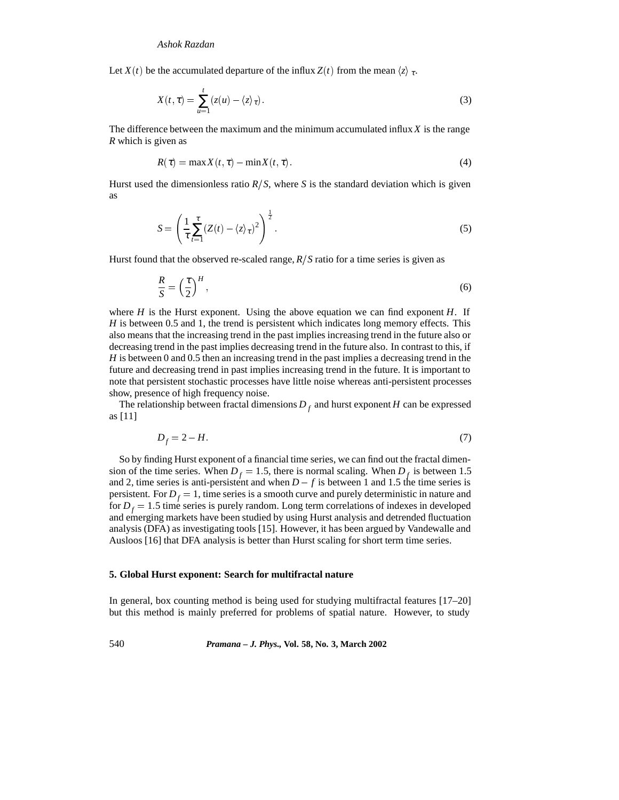Let *X*(*t*) be the accumulated departure of the influx *Z*(*t*) from the mean  $\langle z \rangle$ <sub>*τ*</sub>.

$$
X(t,\tau) = \sum_{u=1}^{t} (z(u) - \langle z \rangle_{\tau}).
$$
\n(3)

The difference between the maximum and the minimum accumulated influx *X* is the range *R* which is given as

$$
R(\tau) = \max X(t, \tau) - \min X(t, \tau). \tag{4}
$$

Hurst used the dimensionless ratio  $R/S$ , where S is the standard deviation which is given as

$$
S = \left(\frac{1}{\tau} \sum_{t=1}^{\tau} \left(Z(t) - \langle z \rangle_{\tau}\right)^2\right)^{\frac{1}{2}}.
$$
\n<sup>(5)</sup>

Hurst found that the observed re-scaled range,  $R/S$  ratio for a time series is given as

$$
\frac{R}{S} = \left(\frac{\tau}{2}\right)^H,\tag{6}
$$

where  $H$  is the Hurst exponent. Using the above equation we can find exponent  $H$ . If *H* is between 0.5 and 1, the trend is persistent which indicates long memory effects. This also means that the increasing trend in the past implies increasing trend in the future also or decreasing trend in the past implies decreasing trend in the future also. In contrast to this, if *H* is between 0 and 0.5 then an increasing trend in the past implies a decreasing trend in the future and decreasing trend in past implies increasing trend in the future. It is important to note that persistent stochastic processes have little noise whereas anti-persistent processes show, presence of high frequency noise.

The relationship between fractal dimensions  $D_f$  and hurst exponent *H* can be expressed as [11]

$$
D_f = 2 - H.\tag{7}
$$

So by finding Hurst exponent of a financial time series, we can find out the fractal dimension of the time series. When  $D_f = 1.5$ , there is normal scaling. When  $D_f$  is between 1.5 and 2, time series is anti-persistent and when  $D - f$  is between 1 and 1.5 the time series is persistent. For  $D_f = 1$ , time series is a smooth curve and purely deterministic in nature and for  $D_f = 1.5$  time series is purely random. Long term correlations of indexes in developed and emerging markets have been studied by using Hurst analysis and detrended fluctuation analysis (DFA) as investigating tools [15]. However, it has been argued by Vandewalle and Ausloos [16] that DFA analysis is better than Hurst scaling for short term time series.

#### **5. Global Hurst exponent: Search for multifractal nature**

In general, box counting method is being used for studying multifractal features [17–20] but this method is mainly preferred for problems of spatial nature. However, to study

540 *Pramana – J. Phys.,* **Vol. 58, No. 3, March 2002**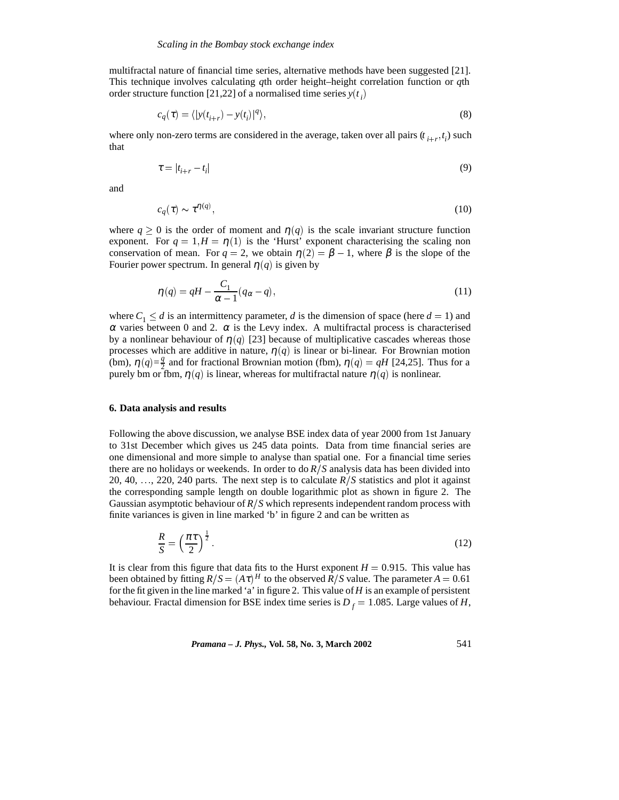multifractal nature of financial time series, alternative methods have been suggested [21]. This technique involves calculating *q*th order height–height correlation function or *q*th order structure function [21,22] of a normalised time series  $y(t_i)$ 

$$
c_q(\tau) = \langle |y(t_{i+r}) - y(t_i)|^q \rangle, \tag{8}
$$

where only non-zero terms are considered in the average, taken over all pairs  $(t_{i+r}, t_i)$  such that

$$
\tau = |t_{i+r} - t_i| \tag{9}
$$

and

$$
c_q(\tau) \sim \tau^{\eta(q)},\tag{10}
$$

where  $q \ge 0$  is the order of moment and  $\eta(q)$  is the scale invariant structure function exponent. For  $q = 1, H = \eta(1)$  is the 'Hurst' exponent characterising the scaling non conservation of mean. For  $q = 2$ , we obtain  $\eta(2) = \beta - 1$ , where  $\beta$  is the slope of the Fourier power spectrum. In general  $\eta(q)$  is given by

$$
\eta(q) = qH - \frac{C_1}{\alpha - 1}(q_\alpha - q),\tag{11}
$$

where  $C_1 \le d$  is an intermittency parameter, *d* is the dimension of space (here  $d = 1$ ) and  $\alpha$  varies between 0 and 2.  $\alpha$  is the Levy index. A multifractal process is characterised by a nonlinear behaviour of  $\eta(q)$  [23] because of multiplicative cascades whereas those processes which are additive in nature,  $\eta(q)$  is linear or bi-linear. For Brownian motion (bm),  $\eta(q) = \frac{q}{2}$  and for fractional Brownian motion (fbm),  $\eta(q) = qH$  [24,25]. Thus for a purely bm or fbm,  $\eta(q)$  is linear, whereas for multifractal nature  $\eta(q)$  is nonlinear.

#### **6. Data analysis and results**

Following the above discussion, we analyse BSE index data of year 2000 from 1st January to 31st December which gives us 245 data points. Data from time financial series are one dimensional and more simple to analyse than spatial one. For a financial time series there are no holidays or weekends. In order to do  $R/S$  analysis data has been divided into 20, 40, ..., 220, 240 parts. The next step is to calculate  $R/S$  statistics and plot it against the corresponding sample length on double logarithmic plot as shown in figure 2. The Gaussian asymptotic behaviour of  $R/S$  which represents independent random process with finite variances is given in line marked 'b' in figure 2 and can be written as

$$
\frac{R}{S} = \left(\frac{\pi\tau}{2}\right)^{\frac{1}{2}}.\tag{12}
$$

It is clear from this figure that data fits to the Hurst exponent  $H = 0.915$ . This value has been obtained by fitting  $R/S = (A\tau)^H$  to the observed  $\overline{R}/S$  value. The parameter  $A = 0.61$ for the fit given in the line marked 'a' in figure 2. This value of*H* is an example of persistent behaviour. Fractal dimension for BSE index time series is  $D_f = 1.085$ . Large values of *H*,

*Pramana – J. Phys.,* **Vol. 58, No. 3, March 2002** 541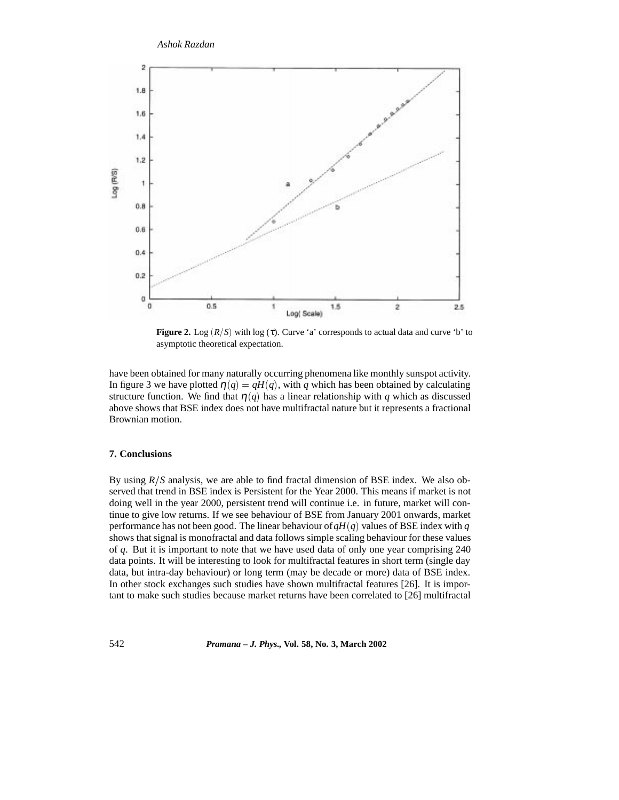

**Figure 2.** Log  $(R/S)$  with log  $(\tau)$ . Curve 'a' corresponds to actual data and curve 'b' to asymptotic theoretical expectation.

have been obtained for many naturally occurring phenomena like monthly sunspot activity. In figure 3 we have plotted  $\eta(q) = qH(q)$ , with *q* which has been obtained by calculating structure function. We find that  $\eta(q)$  has a linear relationship with q which as discussed above shows that BSE index does not have multifractal nature but it represents a fractional Brownian motion.

## **7. Conclusions**

By using  $R/S$  analysis, we are able to find fractal dimension of BSE index. We also observed that trend in BSE index is Persistent for the Year 2000. This means if market is not doing well in the year 2000, persistent trend will continue i.e. in future, market will continue to give low returns. If we see behaviour of BSE from January 2001 onwards, market performance has not been good. The linear behaviour of*qH* (*q*) values of BSE index with *q* shows that signal is monofractal and data follows simple scaling behaviour for these values of *q*. But it is important to note that we have used data of only one year comprising 240 data points. It will be interesting to look for multifractal features in short term (single day data, but intra-day behaviour) or long term (may be decade or more) data of BSE index. In other stock exchanges such studies have shown multifractal features [26]. It is important to make such studies because market returns have been correlated to [26] multifractal

542 *Pramana – J. Phys.,* **Vol. 58, No. 3, March 2002**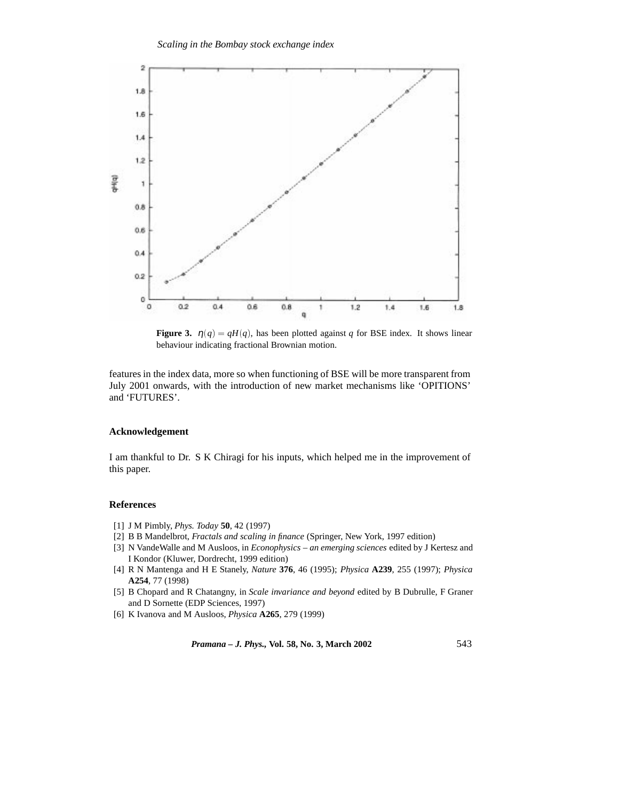

**Figure 3.**  $\eta(q) = qH(q)$ , has been plotted against *q* for BSE index. It shows linear behaviour indicating fractional Brownian motion.

features in the index data, more so when functioning of BSE will be more transparent from July 2001 onwards, with the introduction of new market mechanisms like 'OPITIONS' and 'FUTURES'.

# **Acknowledgement**

I am thankful to Dr. S K Chiragi for his inputs, which helped me in the improvement of this paper.

# **References**

- [1] J M Pimbly, *Phys. Today* **50**, 42 (1997)
- [2] B B Mandelbrot, *Fractals and scaling in finance* (Springer, New York, 1997 edition)
- [3] N VandeWalle and M Ausloos, in *Econophysics an emerging sciences* edited by J Kertesz and I Kondor (Kluwer, Dordrecht, 1999 edition)
- [4] R N Mantenga and H E Stanely, *Nature* **376**, 46 (1995); *Physica* **A239**, 255 (1997); *Physica* **A254**, 77 (1998)
- [5] B Chopard and R Chatangny, in *Scale invariance and beyond* edited by B Dubrulle, F Graner and D Sornette (EDP Sciences, 1997)
- [6] K Ivanova and M Ausloos, *Physica* **A265**, 279 (1999)

*Pramana – J. Phys.,* **Vol. 58, No. 3, March 2002** 543